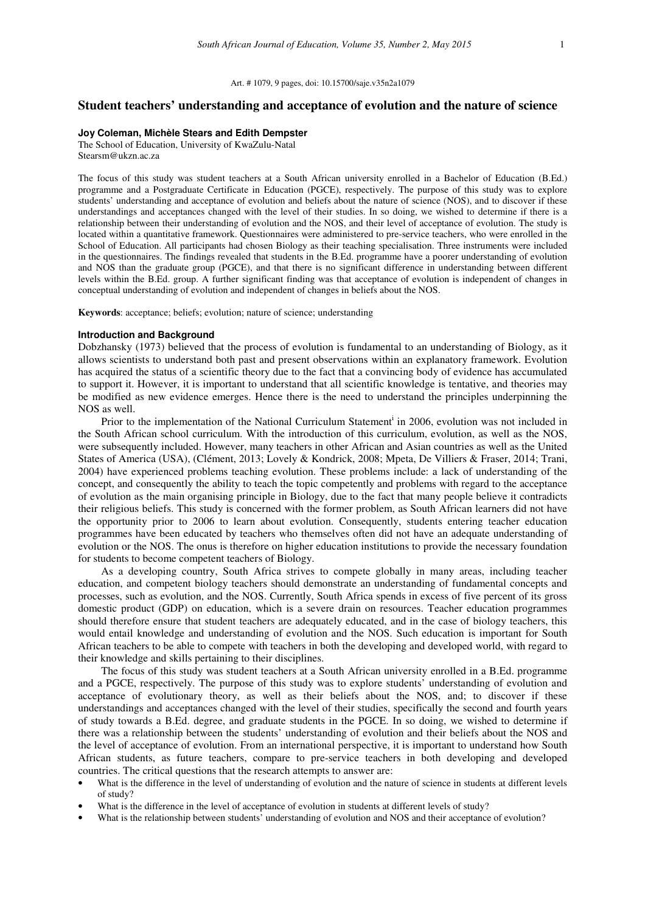# **Student teachers' understanding and acceptance of evolution and the nature of science**

### **Joy Coleman, Michèle Stears and Edith Dempster**

The School of Education, University of KwaZulu-Natal Stearsm@ukzn.ac.za

The focus of this study was student teachers at a South African university enrolled in a Bachelor of Education (B.Ed.) programme and a Postgraduate Certificate in Education (PGCE), respectively. The purpose of this study was to explore students' understanding and acceptance of evolution and beliefs about the nature of science (NOS), and to discover if these understandings and acceptances changed with the level of their studies. In so doing, we wished to determine if there is a relationship between their understanding of evolution and the NOS, and their level of acceptance of evolution. The study is located within a quantitative framework. Questionnaires were administered to pre-service teachers, who were enrolled in the School of Education. All participants had chosen Biology as their teaching specialisation. Three instruments were included in the questionnaires. The findings revealed that students in the B.Ed. programme have a poorer understanding of evolution and NOS than the graduate group (PGCE), and that there is no significant difference in understanding between different levels within the B.Ed. group. A further significant finding was that acceptance of evolution is independent of changes in conceptual understanding of evolution and independent of changes in beliefs about the NOS.

**Keywords**: acceptance; beliefs; evolution; nature of science; understanding

#### **Introduction and Background**

Dobzhansky (1973) believed that the process of evolution is fundamental to an understanding of Biology, as it allows scientists to understand both past and present observations within an explanatory framework. Evolution has acquired the status of a scientific theory due to the fact that a convincing body of evidence has accumulated to support it. However, it is important to understand that all scientific knowledge is tentative, and theories may be modified as new evidence emerges. Hence there is the need to understand the principles underpinning the NOS as well.

Prior to the implementation of the National Curriculum Statement<sup>i</sup> in 2006, evolution was not included in the South African school curriculum. With the introduction of this curriculum, evolution, as well as the NOS, were subsequently included. However, many teachers in other African and Asian countries as well as the United States of America (USA), (Clément, 2013; Lovely & Kondrick, 2008; Mpeta, De Villiers & Fraser, 2014; Trani, 2004) have experienced problems teaching evolution. These problems include: a lack of understanding of the concept, and consequently the ability to teach the topic competently and problems with regard to the acceptance of evolution as the main organising principle in Biology, due to the fact that many people believe it contradicts their religious beliefs. This study is concerned with the former problem, as South African learners did not have the opportunity prior to 2006 to learn about evolution. Consequently, students entering teacher education programmes have been educated by teachers who themselves often did not have an adequate understanding of evolution or the NOS. The onus is therefore on higher education institutions to provide the necessary foundation for students to become competent teachers of Biology.

As a developing country, South Africa strives to compete globally in many areas, including teacher education, and competent biology teachers should demonstrate an understanding of fundamental concepts and processes, such as evolution, and the NOS. Currently, South Africa spends in excess of five percent of its gross domestic product (GDP) on education, which is a severe drain on resources. Teacher education programmes should therefore ensure that student teachers are adequately educated, and in the case of biology teachers, this would entail knowledge and understanding of evolution and the NOS. Such education is important for South African teachers to be able to compete with teachers in both the developing and developed world, with regard to their knowledge and skills pertaining to their disciplines.

The focus of this study was student teachers at a South African university enrolled in a B.Ed. programme and a PGCE, respectively. The purpose of this study was to explore students' understanding of evolution and acceptance of evolutionary theory, as well as their beliefs about the NOS, and; to discover if these understandings and acceptances changed with the level of their studies, specifically the second and fourth years of study towards a B.Ed. degree, and graduate students in the PGCE. In so doing, we wished to determine if there was a relationship between the students' understanding of evolution and their beliefs about the NOS and the level of acceptance of evolution. From an international perspective, it is important to understand how South African students, as future teachers, compare to pre-service teachers in both developing and developed countries. The critical questions that the research attempts to answer are:

- What is the difference in the level of understanding of evolution and the nature of science in students at different levels of study?
- What is the difference in the level of acceptance of evolution in students at different levels of study?
- What is the relationship between students' understanding of evolution and NOS and their acceptance of evolution?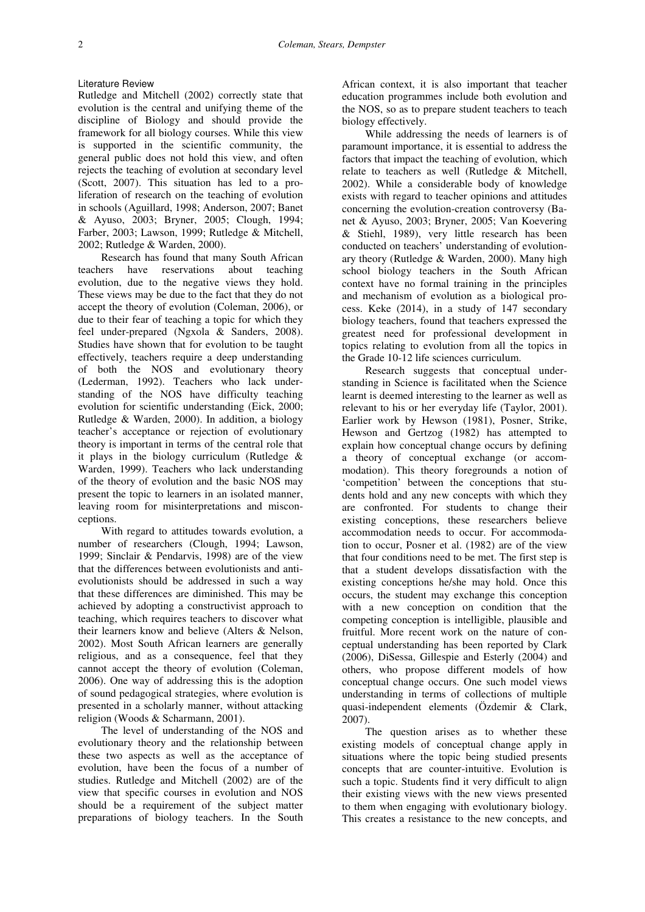## Literature Review

Rutledge and Mitchell (2002) correctly state that evolution is the central and unifying theme of the discipline of Biology and should provide the framework for all biology courses. While this view is supported in the scientific community, the general public does not hold this view, and often rejects the teaching of evolution at secondary level (Scott, 2007). This situation has led to a proliferation of research on the teaching of evolution in schools (Aguillard, 1998; Anderson, 2007; Banet & Ayuso, 2003; Bryner, 2005; Clough, 1994; Farber, 2003; Lawson, 1999; Rutledge & Mitchell, 2002; Rutledge & Warden, 2000).

Research has found that many South African teachers have reservations about teaching evolution, due to the negative views they hold. These views may be due to the fact that they do not accept the theory of evolution (Coleman, 2006), or due to their fear of teaching a topic for which they feel under-prepared (Ngxola & Sanders, 2008). Studies have shown that for evolution to be taught effectively, teachers require a deep understanding of both the NOS and evolutionary theory (Lederman, 1992). Teachers who lack understanding of the NOS have difficulty teaching evolution for scientific understanding (Eick, 2000; Rutledge & Warden, 2000). In addition, a biology teacher's acceptance or rejection of evolutionary theory is important in terms of the central role that it plays in the biology curriculum (Rutledge & Warden, 1999). Teachers who lack understanding of the theory of evolution and the basic NOS may present the topic to learners in an isolated manner, leaving room for misinterpretations and misconceptions.

With regard to attitudes towards evolution, a number of researchers (Clough, 1994; Lawson, 1999; Sinclair & Pendarvis, 1998) are of the view that the differences between evolutionists and antievolutionists should be addressed in such a way that these differences are diminished. This may be achieved by adopting a constructivist approach to teaching, which requires teachers to discover what their learners know and believe (Alters & Nelson, 2002). Most South African learners are generally religious, and as a consequence, feel that they cannot accept the theory of evolution (Coleman, 2006). One way of addressing this is the adoption of sound pedagogical strategies, where evolution is presented in a scholarly manner, without attacking religion (Woods & Scharmann, 2001).

The level of understanding of the NOS and evolutionary theory and the relationship between these two aspects as well as the acceptance of evolution, have been the focus of a number of studies. Rutledge and Mitchell (2002) are of the view that specific courses in evolution and NOS should be a requirement of the subject matter preparations of biology teachers. In the South African context, it is also important that teacher education programmes include both evolution and the NOS, so as to prepare student teachers to teach biology effectively.

While addressing the needs of learners is of paramount importance, it is essential to address the factors that impact the teaching of evolution, which relate to teachers as well (Rutledge & Mitchell, 2002). While a considerable body of knowledge exists with regard to teacher opinions and attitudes concerning the evolution-creation controversy (Banet & Ayuso, 2003; Bryner, 2005; Van Koevering & Stiehl, 1989), very little research has been conducted on teachers' understanding of evolutionary theory (Rutledge & Warden, 2000). Many high school biology teachers in the South African context have no formal training in the principles and mechanism of evolution as a biological process. Keke (2014), in a study of 147 secondary biology teachers, found that teachers expressed the greatest need for professional development in topics relating to evolution from all the topics in the Grade 10-12 life sciences curriculum.

Research suggests that conceptual understanding in Science is facilitated when the Science learnt is deemed interesting to the learner as well as relevant to his or her everyday life (Taylor, 2001). Earlier work by Hewson (1981), Posner, Strike, Hewson and Gertzog (1982) has attempted to explain how conceptual change occurs by defining a theory of conceptual exchange (or accommodation). This theory foregrounds a notion of 'competition' between the conceptions that students hold and any new concepts with which they are confronted. For students to change their existing conceptions, these researchers believe accommodation needs to occur. For accommodation to occur, Posner et al. (1982) are of the view that four conditions need to be met. The first step is that a student develops dissatisfaction with the existing conceptions he/she may hold. Once this occurs, the student may exchange this conception with a new conception on condition that the competing conception is intelligible, plausible and fruitful. More recent work on the nature of conceptual understanding has been reported by Clark (2006), DiSessa, Gillespie and Esterly (2004) and others, who propose different models of how conceptual change occurs. One such model views understanding in terms of collections of multiple quasi-independent elements (Özdemir & Clark, 2007).

The question arises as to whether these existing models of conceptual change apply in situations where the topic being studied presents concepts that are counter-intuitive. Evolution is such a topic. Students find it very difficult to align their existing views with the new views presented to them when engaging with evolutionary biology. This creates a resistance to the new concepts, and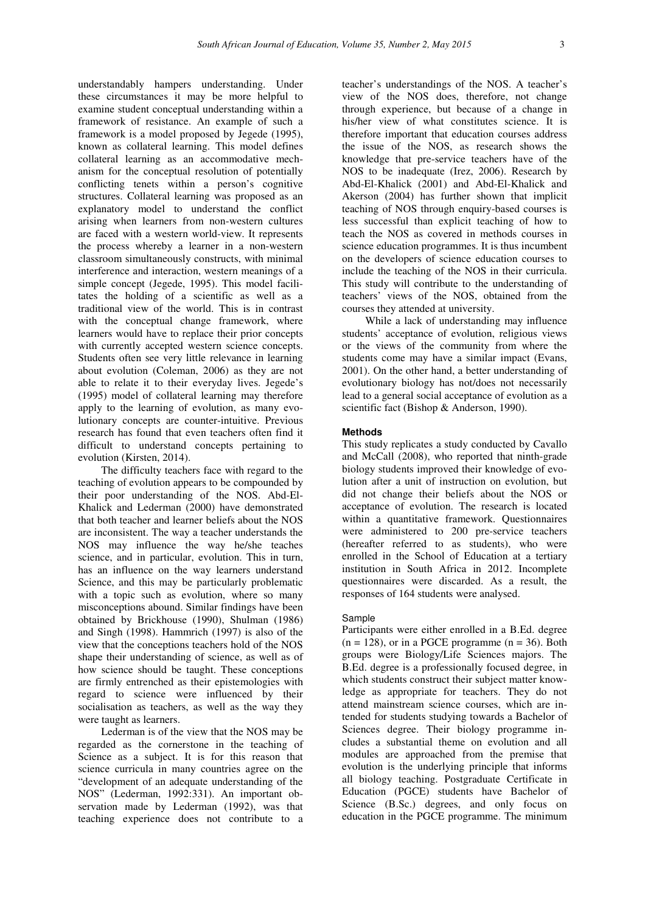understandably hampers understanding. Under these circumstances it may be more helpful to examine student conceptual understanding within a framework of resistance. An example of such a framework is a model proposed by Jegede (1995), known as collateral learning. This model defines collateral learning as an accommodative mechanism for the conceptual resolution of potentially conflicting tenets within a person's cognitive structures. Collateral learning was proposed as an explanatory model to understand the conflict arising when learners from non-western cultures are faced with a western world-view. It represents the process whereby a learner in a non-western classroom simultaneously constructs, with minimal interference and interaction, western meanings of a simple concept (Jegede, 1995). This model facilitates the holding of a scientific as well as a traditional view of the world. This is in contrast with the conceptual change framework, where learners would have to replace their prior concepts with currently accepted western science concepts. Students often see very little relevance in learning about evolution (Coleman, 2006) as they are not able to relate it to their everyday lives. Jegede's (1995) model of collateral learning may therefore apply to the learning of evolution, as many evolutionary concepts are counter-intuitive. Previous research has found that even teachers often find it difficult to understand concepts pertaining to evolution (Kirsten, 2014).

The difficulty teachers face with regard to the teaching of evolution appears to be compounded by their poor understanding of the NOS. Abd-El-Khalick and Lederman (2000) have demonstrated that both teacher and learner beliefs about the NOS are inconsistent. The way a teacher understands the NOS may influence the way he/she teaches science, and in particular, evolution. This in turn, has an influence on the way learners understand Science, and this may be particularly problematic with a topic such as evolution, where so many misconceptions abound. Similar findings have been obtained by Brickhouse (1990), Shulman (1986) and Singh (1998). Hammrich (1997) is also of the view that the conceptions teachers hold of the NOS shape their understanding of science, as well as of how science should be taught. These conceptions are firmly entrenched as their epistemologies with regard to science were influenced by their socialisation as teachers, as well as the way they were taught as learners.

Lederman is of the view that the NOS may be regarded as the cornerstone in the teaching of Science as a subject. It is for this reason that science curricula in many countries agree on the "development of an adequate understanding of the NOS" (Lederman, 1992:331). An important observation made by Lederman (1992), was that teaching experience does not contribute to a teacher's understandings of the NOS. A teacher's view of the NOS does, therefore, not change through experience, but because of a change in his/her view of what constitutes science. It is therefore important that education courses address the issue of the NOS, as research shows the knowledge that pre-service teachers have of the NOS to be inadequate (Irez, 2006). Research by Abd-El-Khalick (2001) and Abd-El-Khalick and Akerson (2004) has further shown that implicit teaching of NOS through enquiry-based courses is less successful than explicit teaching of how to teach the NOS as covered in methods courses in science education programmes. It is thus incumbent on the developers of science education courses to include the teaching of the NOS in their curricula. This study will contribute to the understanding of teachers' views of the NOS, obtained from the courses they attended at university.

While a lack of understanding may influence students' acceptance of evolution, religious views or the views of the community from where the students come may have a similar impact (Evans, 2001). On the other hand, a better understanding of evolutionary biology has not/does not necessarily lead to a general social acceptance of evolution as a scientific fact (Bishop & Anderson, 1990).

## **Methods**

This study replicates a study conducted by Cavallo and McCall (2008), who reported that ninth-grade biology students improved their knowledge of evolution after a unit of instruction on evolution, but did not change their beliefs about the NOS or acceptance of evolution. The research is located within a quantitative framework. Questionnaires were administered to 200 pre-service teachers (hereafter referred to as students), who were enrolled in the School of Education at a tertiary institution in South Africa in 2012. Incomplete questionnaires were discarded. As a result, the responses of 164 students were analysed.

### Sample

Participants were either enrolled in a B.Ed. degree  $(n = 128)$ , or in a PGCE programme  $(n = 36)$ . Both groups were Biology/Life Sciences majors. The B.Ed. degree is a professionally focused degree, in which students construct their subject matter knowledge as appropriate for teachers. They do not attend mainstream science courses, which are intended for students studying towards a Bachelor of Sciences degree. Their biology programme includes a substantial theme on evolution and all modules are approached from the premise that evolution is the underlying principle that informs all biology teaching. Postgraduate Certificate in Education (PGCE) students have Bachelor of Science (B.Sc.) degrees, and only focus on education in the PGCE programme. The minimum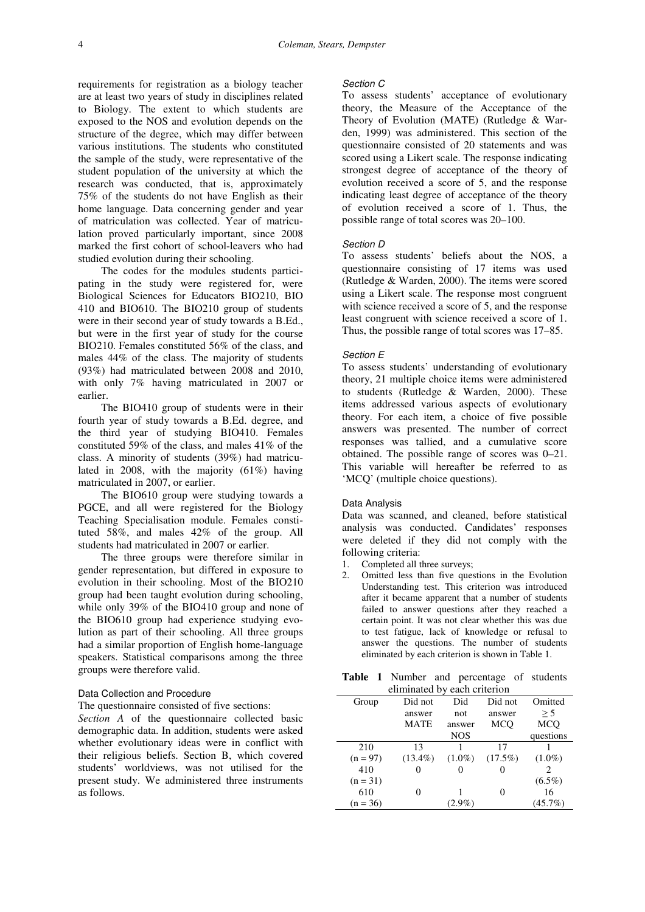requirements for registration as a biology teacher are at least two years of study in disciplines related to Biology. The extent to which students are exposed to the NOS and evolution depends on the structure of the degree, which may differ between various institutions. The students who constituted the sample of the study, were representative of the student population of the university at which the research was conducted, that is, approximately 75% of the students do not have English as their home language. Data concerning gender and year of matriculation was collected. Year of matriculation proved particularly important, since 2008 marked the first cohort of school-leavers who had studied evolution during their schooling.

The codes for the modules students participating in the study were registered for, were Biological Sciences for Educators BIO210, BIO 410 and BIO610. The BIO210 group of students were in their second year of study towards a B.Ed., but were in the first year of study for the course BIO210. Females constituted 56% of the class, and males 44% of the class. The majority of students (93%) had matriculated between 2008 and 2010, with only 7% having matriculated in 2007 or earlier.

The BIO410 group of students were in their fourth year of study towards a B.Ed. degree, and the third year of studying BIO410. Females constituted 59% of the class, and males 41% of the class. A minority of students (39%) had matriculated in 2008, with the majority (61%) having matriculated in 2007, or earlier.

The BIO610 group were studying towards a PGCE, and all were registered for the Biology Teaching Specialisation module. Females constituted 58%, and males 42% of the group. All students had matriculated in 2007 or earlier.

The three groups were therefore similar in gender representation, but differed in exposure to evolution in their schooling. Most of the BIO210 group had been taught evolution during schooling, while only 39% of the BIO410 group and none of the BIO610 group had experience studying evolution as part of their schooling. All three groups had a similar proportion of English home-language speakers. Statistical comparisons among the three groups were therefore valid.

## Data Collection and Procedure

The questionnaire consisted of five sections:

*Section A* of the questionnaire collected basic demographic data. In addition, students were asked whether evolutionary ideas were in conflict with their religious beliefs. Section B, which covered students' worldviews, was not utilised for the present study. We administered three instruments as follows.

### Section C

To assess students' acceptance of evolutionary theory, the Measure of the Acceptance of the Theory of Evolution (MATE) (Rutledge & Warden, 1999) was administered. This section of the questionnaire consisted of 20 statements and was scored using a Likert scale. The response indicating strongest degree of acceptance of the theory of evolution received a score of 5, and the response indicating least degree of acceptance of the theory of evolution received a score of 1. Thus, the possible range of total scores was 20–100.

# Section D

To assess students' beliefs about the NOS, a questionnaire consisting of 17 items was used (Rutledge & Warden, 2000). The items were scored using a Likert scale. The response most congruent with science received a score of 5, and the response least congruent with science received a score of 1. Thus, the possible range of total scores was 17–85.

### Section E

To assess students' understanding of evolutionary theory, 21 multiple choice items were administered to students (Rutledge & Warden, 2000). These items addressed various aspects of evolutionary theory. For each item, a choice of five possible answers was presented. The number of correct responses was tallied, and a cumulative score obtained. The possible range of scores was 0–21. This variable will hereafter be referred to as 'MCQ' (multiple choice questions).

### Data Analysis

Data was scanned, and cleaned, before statistical analysis was conducted. Candidates' responses were deleted if they did not comply with the following criteria:

- 1. Completed all three surveys;
- 2. Omitted less than five questions in the Evolution Understanding test. This criterion was introduced after it became apparent that a number of students failed to answer questions after they reached a certain point. It was not clear whether this was due to test fatigue, lack of knowledge or refusal to answer the questions. The number of students eliminated by each criterion is shown in Table 1.

|  |  | Table 1 Number and percentage of students |  |
|--|--|-------------------------------------------|--|
|  |  | eliminated by each criterion              |  |

| $v$ <i>aandaduu</i><br><b>Cach Criterion</b> |             |            |            |            |
|----------------------------------------------|-------------|------------|------------|------------|
| Group                                        | Did not     | Did        | Did not    | Omitted    |
|                                              | answer      | not        | answer     | $\geq$ 5   |
|                                              | <b>MATE</b> | answer     | MCO        | <b>MCQ</b> |
|                                              |             | <b>NOS</b> |            | questions  |
| 210                                          | 13          |            | 17         |            |
| $(n = 97)$                                   | $(13.4\%)$  | $(1.0\%)$  | $(17.5\%)$ | $(1.0\%)$  |
| 410                                          |             |            |            |            |
| $(n = 31)$                                   |             |            |            | $(6.5\%)$  |
| 610                                          |             |            |            | 16         |
| $(n = 36)$                                   |             | $(2.9\%)$  |            | $(45.7\%)$ |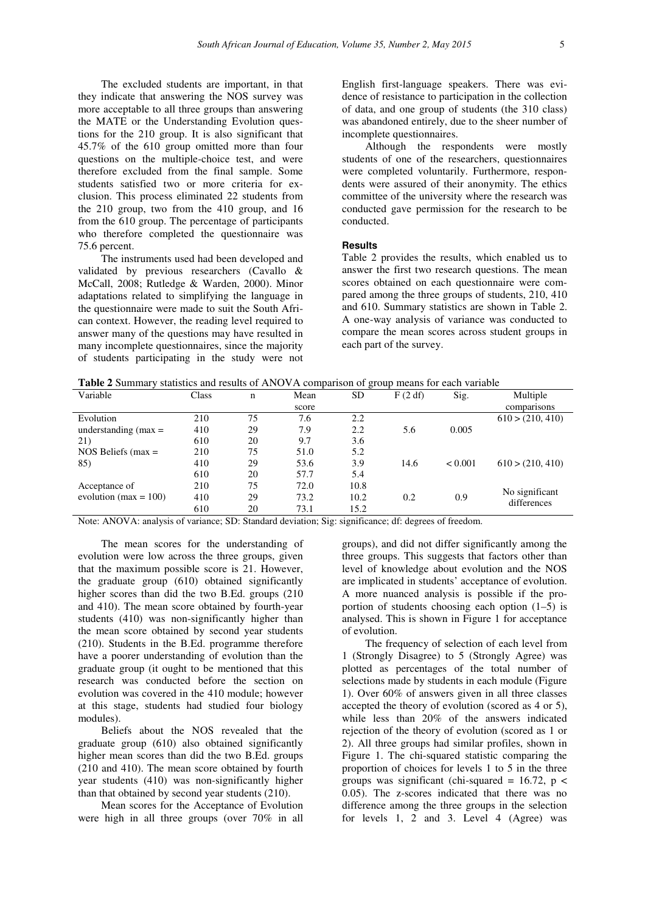The excluded students are important, in that they indicate that answering the NOS survey was more acceptable to all three groups than answering the MATE or the Understanding Evolution questions for the 210 group. It is also significant that 45.7% of the 610 group omitted more than four questions on the multiple-choice test, and were therefore excluded from the final sample. Some students satisfied two or more criteria for exclusion. This process eliminated 22 students from the 210 group, two from the 410 group, and 16 from the 610 group. The percentage of participants who therefore completed the questionnaire was 75.6 percent.

The instruments used had been developed and validated by previous researchers (Cavallo & McCall, 2008; Rutledge & Warden, 2000). Minor adaptations related to simplifying the language in the questionnaire were made to suit the South African context. However, the reading level required to answer many of the questions may have resulted in many incomplete questionnaires, since the majority of students participating in the study were not English first-language speakers. There was evidence of resistance to participation in the collection of data, and one group of students (the 310 class) was abandoned entirely, due to the sheer number of incomplete questionnaires.

Although the respondents were mostly students of one of the researchers, questionnaires were completed voluntarily. Furthermore, respondents were assured of their anonymity. The ethics committee of the university where the research was conducted gave permission for the research to be conducted.

### **Results**

Table 2 provides the results, which enabled us to answer the first two research questions. The mean scores obtained on each questionnaire were compared among the three groups of students, 210, 410 and 610. Summary statistics are shown in Table 2. A one-way analysis of variance was conducted to compare the mean scores across student groups in each part of the survey.

| Variable                  | Class | n  | . .<br>Mean | ັ<br><b>SD</b> | $\mathbf{r}$<br>F(2 df) | Sig.    | Multiple         |
|---------------------------|-------|----|-------------|----------------|-------------------------|---------|------------------|
|                           |       |    | score       |                |                         |         | comparisons      |
| Evolution                 | 210   | 75 | 7.6         | 2.2            |                         |         | 610 > (210, 410) |
| understanding ( $max =$   | 410   | 29 | 7.9         | 2.2            | 5.6                     | 0.005   |                  |
| 21)                       | 610   | 20 | 9.7         | 3.6            |                         |         |                  |
| NOS Beliefs ( $max =$     | 210   | 75 | 51.0        | 5.2            |                         |         |                  |
| 85)                       | 410   | 29 | 53.6        | 3.9            | 14.6                    | < 0.001 | 610 > (210, 410) |
|                           | 610   | 20 | 57.7        | 5.4            |                         |         |                  |
| Acceptance of             | 210   | 75 | 72.0        | 10.8           |                         |         |                  |
| evolution ( $max = 100$ ) | 410   | 29 | 73.2        | 10.2           | 0.2                     | 0.9     | No significant   |
|                           | 610   | 20 | 73.1        | 15.2           |                         |         | differences      |

Note: ANOVA: analysis of variance; SD: Standard deviation; Sig: significance; df: degrees of freedom.

The mean scores for the understanding of evolution were low across the three groups, given that the maximum possible score is 21. However, the graduate group (610) obtained significantly higher scores than did the two B.Ed. groups (210 and 410). The mean score obtained by fourth-year students (410) was non-significantly higher than the mean score obtained by second year students (210). Students in the B.Ed. programme therefore have a poorer understanding of evolution than the graduate group (it ought to be mentioned that this research was conducted before the section on evolution was covered in the 410 module; however at this stage, students had studied four biology modules).

Beliefs about the NOS revealed that the graduate group (610) also obtained significantly higher mean scores than did the two B.Ed. groups (210 and 410). The mean score obtained by fourth year students (410) was non-significantly higher than that obtained by second year students (210).

Mean scores for the Acceptance of Evolution were high in all three groups (over 70% in all groups), and did not differ significantly among the three groups. This suggests that factors other than level of knowledge about evolution and the NOS are implicated in students' acceptance of evolution. A more nuanced analysis is possible if the proportion of students choosing each option  $(1-5)$  is analysed. This is shown in Figure 1 for acceptance of evolution.

The frequency of selection of each level from 1 (Strongly Disagree) to 5 (Strongly Agree) was plotted as percentages of the total number of selections made by students in each module (Figure 1). Over 60% of answers given in all three classes accepted the theory of evolution (scored as 4 or 5), while less than 20% of the answers indicated rejection of the theory of evolution (scored as 1 or 2). All three groups had similar profiles, shown in Figure 1. The chi-squared statistic comparing the proportion of choices for levels 1 to 5 in the three groups was significant (chi-squared =  $16.72$ , p < 0.05). The z-scores indicated that there was no difference among the three groups in the selection for levels 1, 2 and 3. Level 4 (Agree) was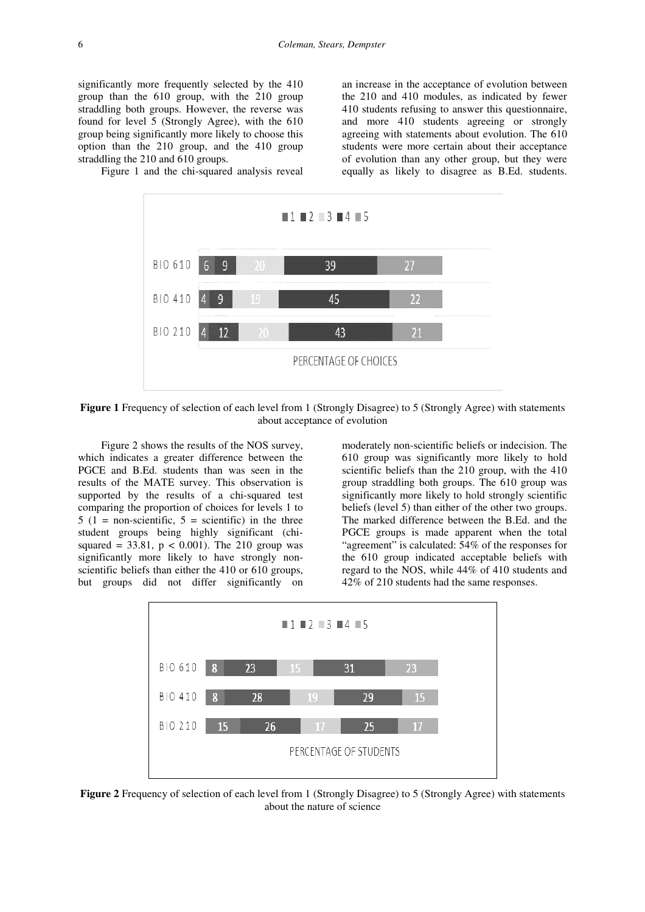significantly more frequently selected by the 410 group than the 610 group, with the 210 group straddling both groups. However, the reverse was found for level 5 (Strongly Agree), with the 610 group being significantly more likely to choose this option than the 210 group, and the 410 group straddling the 210 and 610 groups.

Figure 1 and the chi-squared analysis reveal

an increase in the acceptance of evolution between the 210 and 410 modules, as indicated by fewer 410 students refusing to answer this questionnaire, and more 410 students agreeing or strongly agreeing with statements about evolution. The 610 students were more certain about their acceptance of evolution than any other group, but they were equally as likely to disagree as B.Ed. students.



**Figure 1** Frequency of selection of each level from 1 (Strongly Disagree) to 5 (Strongly Agree) with statements about acceptance of evolution

Figure 2 shows the results of the NOS survey, which indicates a greater difference between the PGCE and B.Ed. students than was seen in the results of the MATE survey. This observation is supported by the results of a chi-squared test comparing the proportion of choices for levels 1 to  $5(1 = \text{non-scientific}, 5 = \text{scientific})$  in the three student groups being highly significant (chisquared =  $33.81$ ,  $p < 0.001$ ). The 210 group was significantly more likely to have strongly nonscientific beliefs than either the 410 or 610 groups, but groups did not differ significantly on

moderately non-scientific beliefs or indecision. The 610 group was significantly more likely to hold scientific beliefs than the 210 group, with the 410 group straddling both groups. The 610 group was significantly more likely to hold strongly scientific beliefs (level 5) than either of the other two groups. The marked difference between the B.Ed. and the PGCE groups is made apparent when the total "agreement" is calculated: 54% of the responses for the 610 group indicated acceptable beliefs with regard to the NOS, while 44% of 410 students and 42% of 210 students had the same responses.



**Figure 2** Frequency of selection of each level from 1 (Strongly Disagree) to 5 (Strongly Agree) with statements about the nature of science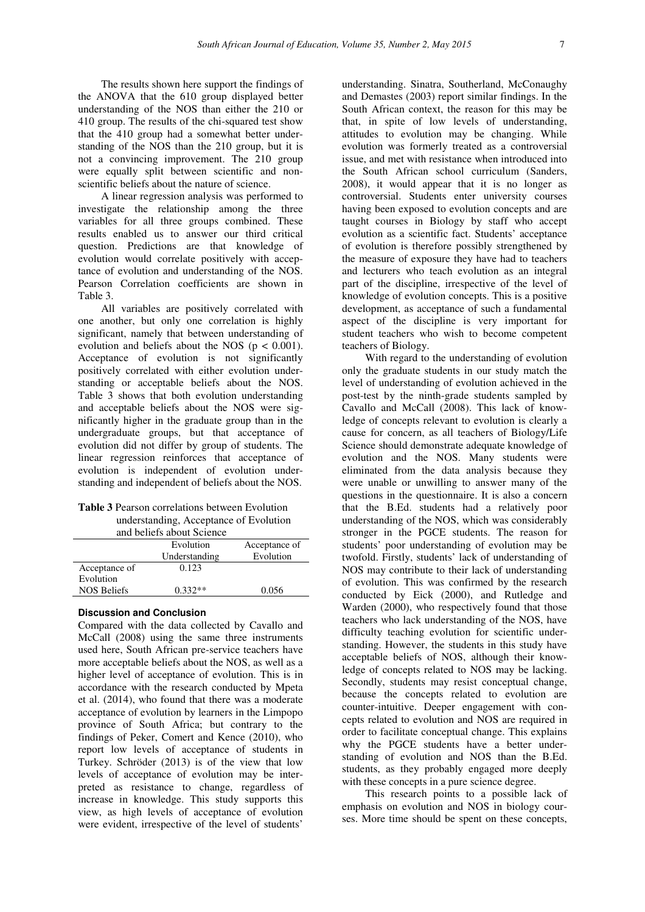The results shown here support the findings of the ANOVA that the 610 group displayed better understanding of the NOS than either the 210 or 410 group. The results of the chi-squared test show that the 410 group had a somewhat better understanding of the NOS than the 210 group, but it is not a convincing improvement. The 210 group were equally split between scientific and nonscientific beliefs about the nature of science.

A linear regression analysis was performed to investigate the relationship among the three variables for all three groups combined. These results enabled us to answer our third critical question. Predictions are that knowledge of evolution would correlate positively with acceptance of evolution and understanding of the NOS. Pearson Correlation coefficients are shown in Table 3.

All variables are positively correlated with one another, but only one correlation is highly significant, namely that between understanding of evolution and beliefs about the NOS ( $p < 0.001$ ). Acceptance of evolution is not significantly positively correlated with either evolution understanding or acceptable beliefs about the NOS. Table 3 shows that both evolution understanding and acceptable beliefs about the NOS were significantly higher in the graduate group than in the undergraduate groups, but that acceptance of evolution did not differ by group of students. The linear regression reinforces that acceptance of evolution is independent of evolution understanding and independent of beliefs about the NOS.

### **Table 3** Pearson correlations between Evolution understanding, Acceptance of Evolution  $\frac{1}{4}$  holiefs about  $\frac{1}{4}$

|                    | and beliefs about Science |               |
|--------------------|---------------------------|---------------|
|                    | Evolution                 | Acceptance of |
|                    | Understanding             | Evolution     |
| Acceptance of      | 0.123                     |               |
| Evolution          |                           |               |
| <b>NOS Beliefs</b> | $0.332**$                 | 0.056         |
|                    |                           |               |

### **Discussion and Conclusion**

Compared with the data collected by Cavallo and McCall (2008) using the same three instruments used here, South African pre-service teachers have more acceptable beliefs about the NOS, as well as a higher level of acceptance of evolution. This is in accordance with the research conducted by Mpeta et al. (2014), who found that there was a moderate acceptance of evolution by learners in the Limpopo province of South Africa; but contrary to the findings of Peker, Comert and Kence (2010), who report low levels of acceptance of students in Turkey. Schröder (2013) is of the view that low levels of acceptance of evolution may be interpreted as resistance to change, regardless of increase in knowledge. This study supports this view, as high levels of acceptance of evolution were evident, irrespective of the level of students'

understanding. Sinatra, Southerland, McConaughy and Demastes (2003) report similar findings. In the South African context, the reason for this may be that, in spite of low levels of understanding, attitudes to evolution may be changing. While evolution was formerly treated as a controversial issue, and met with resistance when introduced into the South African school curriculum (Sanders, 2008), it would appear that it is no longer as controversial. Students enter university courses having been exposed to evolution concepts and are taught courses in Biology by staff who accept evolution as a scientific fact. Students' acceptance of evolution is therefore possibly strengthened by the measure of exposure they have had to teachers and lecturers who teach evolution as an integral part of the discipline, irrespective of the level of knowledge of evolution concepts. This is a positive development, as acceptance of such a fundamental aspect of the discipline is very important for student teachers who wish to become competent teachers of Biology.

With regard to the understanding of evolution only the graduate students in our study match the level of understanding of evolution achieved in the post-test by the ninth-grade students sampled by Cavallo and McCall (2008). This lack of knowledge of concepts relevant to evolution is clearly a cause for concern, as all teachers of Biology/Life Science should demonstrate adequate knowledge of evolution and the NOS. Many students were eliminated from the data analysis because they were unable or unwilling to answer many of the questions in the questionnaire. It is also a concern that the B.Ed. students had a relatively poor understanding of the NOS, which was considerably stronger in the PGCE students. The reason for students' poor understanding of evolution may be twofold. Firstly, students' lack of understanding of NOS may contribute to their lack of understanding of evolution. This was confirmed by the research conducted by Eick (2000), and Rutledge and Warden (2000), who respectively found that those teachers who lack understanding of the NOS, have difficulty teaching evolution for scientific understanding. However, the students in this study have acceptable beliefs of NOS, although their knowledge of concepts related to NOS may be lacking. Secondly, students may resist conceptual change, because the concepts related to evolution are counter-intuitive. Deeper engagement with concepts related to evolution and NOS are required in order to facilitate conceptual change. This explains why the PGCE students have a better understanding of evolution and NOS than the B.Ed. students, as they probably engaged more deeply with these concepts in a pure science degree.

This research points to a possible lack of emphasis on evolution and NOS in biology courses. More time should be spent on these concepts,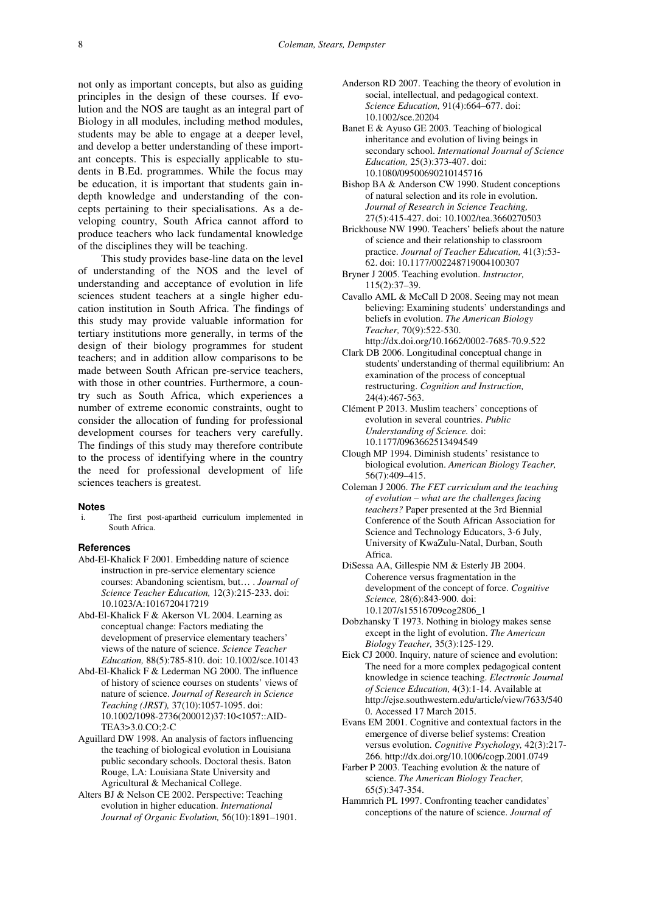not only as important concepts, but also as guiding principles in the design of these courses. If evolution and the NOS are taught as an integral part of Biology in all modules, including method modules, students may be able to engage at a deeper level, and develop a better understanding of these important concepts. This is especially applicable to students in B.Ed. programmes. While the focus may be education, it is important that students gain indepth knowledge and understanding of the concepts pertaining to their specialisations. As a developing country, South Africa cannot afford to produce teachers who lack fundamental knowledge of the disciplines they will be teaching.

This study provides base-line data on the level of understanding of the NOS and the level of understanding and acceptance of evolution in life sciences student teachers at a single higher education institution in South Africa. The findings of this study may provide valuable information for tertiary institutions more generally, in terms of the design of their biology programmes for student teachers; and in addition allow comparisons to be made between South African pre-service teachers, with those in other countries. Furthermore, a country such as South Africa, which experiences a number of extreme economic constraints, ought to consider the allocation of funding for professional development courses for teachers very carefully. The findings of this study may therefore contribute to the process of identifying where in the country the need for professional development of life sciences teachers is greatest.

#### **Notes**

i. The first post-apartheid curriculum implemented in South Africa.

#### **References**

- Abd-El-Khalick F 2001. Embedding nature of science instruction in pre-service elementary science courses: Abandoning scientism, but… . *Journal of Science Teacher Education,* 12(3):215-233. doi: 10.1023/A:1016720417219
- Abd-El-Khalick F & Akerson VL 2004. Learning as conceptual change: Factors mediating the development of preservice elementary teachers' views of the nature of science. *Science Teacher Education,* 88(5):785-810. doi: 10.1002/sce.10143
- Abd-El-Khalick F & Lederman NG 2000. The influence of history of science courses on students' views of nature of science. *Journal of Research in Science Teaching (JRST),* 37(10):1057-1095. doi: 10.1002/1098-2736(200012)37:10<1057::AID-TEA3>3.0.CO;2-C
- Aguillard DW 1998. An analysis of factors influencing the teaching of biological evolution in Louisiana public secondary schools. Doctoral thesis. Baton Rouge, LA: Louisiana State University and Agricultural & Mechanical College.
- Alters BJ & Nelson CE 2002. Perspective: Teaching evolution in higher education. *International Journal of Organic Evolution,* 56(10):1891–1901.
- Anderson RD 2007. Teaching the theory of evolution in social, intellectual, and pedagogical context. *Science Education,* 91(4):664–677. doi: 10.1002/sce.20204
- Banet E & Ayuso GE 2003. Teaching of biological inheritance and evolution of living beings in secondary school. *International Journal of Science Education,* 25(3):373-407. doi: 10.1080/09500690210145716
- Bishop BA & Anderson CW 1990. Student conceptions of natural selection and its role in evolution. *Journal of Research in Science Teaching,*  27(5):415-427. doi: 10.1002/tea.3660270503
- Brickhouse NW 1990. Teachers' beliefs about the nature of science and their relationship to classroom practice. *Journal of Teacher Education,* 41(3):53- 62. doi: 10.1177/002248719004100307
- Bryner J 2005. Teaching evolution. *Instructor,*  115(2):37–39.
- Cavallo AML & McCall D 2008. Seeing may not mean believing: Examining students' understandings and beliefs in evolution. *The American Biology Teacher,* 70(9):522-530. http://dx.doi.org/10.1662/0002-7685-70.9.522
- Clark DB 2006. Longitudinal conceptual change in students' understanding of thermal equilibrium: An examination of the process of conceptual restructuring. *Cognition and Instruction,* 24(4):467-563.
- Clément P 2013. Muslim teachers' conceptions of evolution in several countries. *Public Understanding of Science.* doi: 10.1177/0963662513494549
- Clough MP 1994. Diminish students' resistance to biological evolution. *American Biology Teacher,*  56(7):409–415.
- Coleman J 2006. *The FET curriculum and the teaching of evolution – what are the challenges facing teachers?* Paper presented at the 3rd Biennial Conference of the South African Association for Science and Technology Educators, 3-6 July, University of KwaZulu-Natal, Durban, South Africa.
- DiSessa AA, Gillespie NM & Esterly JB 2004. Coherence versus fragmentation in the development of the concept of force. *Cognitive Science,* 28(6):843-900. doi: 10.1207/s15516709cog2806\_1
- Dobzhansky T 1973. Nothing in biology makes sense except in the light of evolution. *The American Biology Teacher,* 35(3):125-129.
- Eick CJ 2000. Inquiry, nature of science and evolution: The need for a more complex pedagogical content knowledge in science teaching. *Electronic Journal of Science Education,* 4(3):1-14. Available at http://ejse.southwestern.edu/article/view/7633/540 0. Accessed 17 March 2015.
- Evans EM 2001. Cognitive and contextual factors in the emergence of diverse belief systems: Creation versus evolution. *Cognitive Psychology,* 42(3):217- 266. http://dx.doi.org/10.1006/cogp.2001.0749
- Farber P 2003. Teaching evolution & the nature of science. *The American Biology Teacher,*  65(5):347-354.
- Hammrich PL 1997. Confronting teacher candidates' conceptions of the nature of science. *Journal of*